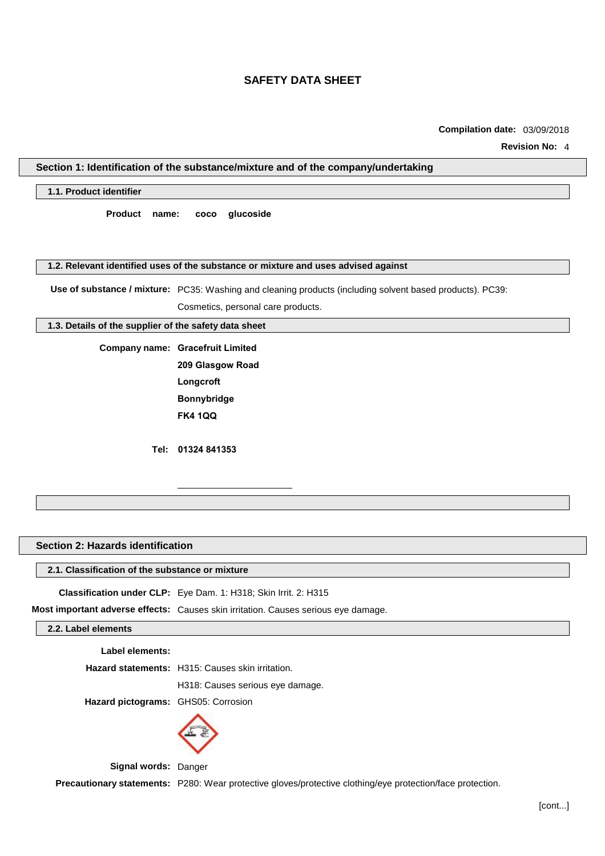### **Compilation date:** 03/09/2018

**Revision No:** 4

### **Section 1: Identification of the substance/mixture and of the company/undertaking**

### **1.1. Product identifier**

**Product name: coco glucoside**

**1.2. Relevant identified uses of the substance or mixture and uses advised against**

**Use of substance / mixture:** PC35: Washing and cleaning products (including solvent based products). PC39:

Cosmetics, personal care products.

### **1.3. Details of the supplier of the safety data sheet**

**Company name: Gracefruit Limited 209 Glasgow Road Longcroft Bonnybridge FK4 1QQ**

**Tel: 01324 841353**

### **Section 2: Hazards identification**

### **2.1. Classification of the substance or mixture**

**Classification under CLP:** Eye Dam. 1: H318; Skin Irrit. 2: H315

**Most important adverse effects:** Causes skin irritation. Causes serious eye damage.

### **2.2. Label elements**

**Label elements:**

**Hazard statements:** H315: Causes skin irritation.

H318: Causes serious eye damage.

**Hazard pictograms:** GHS05: Corrosion



**Signal words:** Danger

**Precautionary statements:** P280: Wear protective gloves/protective clothing/eye protection/face protection.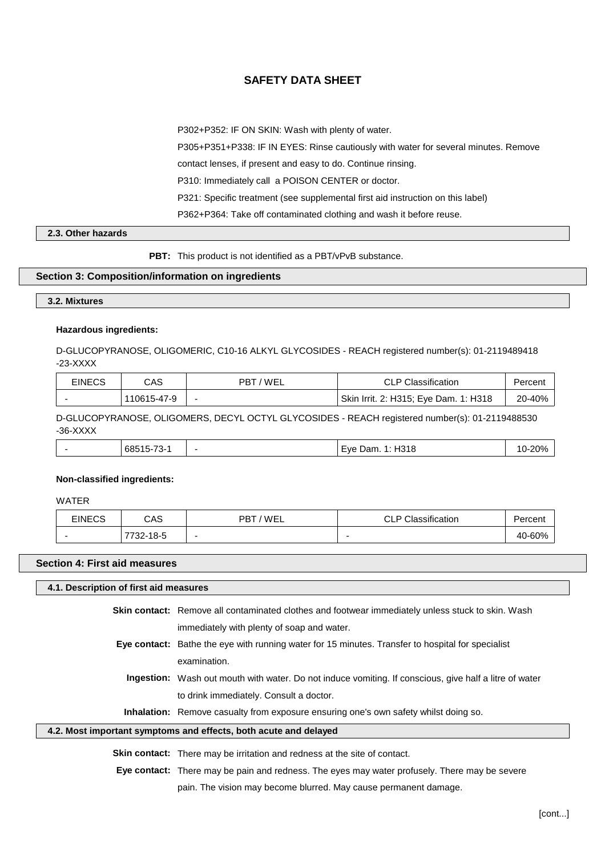P302+P352: IF ON SKIN: Wash with plenty of water.

P305+P351+P338: IF IN EYES: Rinse cautiously with water for several minutes. Remove

contact lenses, if present and easy to do. Continue rinsing.

P310: Immediately call a POISON CENTER or doctor.

P321: Specific treatment (see supplemental first aid instruction on this label)

P362+P364: Take off contaminated clothing and wash it before reuse.

# **2.3. Other hazards**

**PBT:** This product is not identified as a PBT/vPvB substance.

### **Section 3: Composition/information on ingredients**

### **3.2. Mixtures**

#### **Hazardous ingredients:**

D-GLUCOPYRANOSE, OLIGOMERIC, C10-16 ALKYL GLYCOSIDES - REACH registered number(s): 01-2119489418 -23-XXXX

| EINECS | CAS:        | 'WEL<br>PB1 | CLP Classification                    | rerce. |
|--------|-------------|-------------|---------------------------------------|--------|
|        | 110615-47-9 |             | Skin Irrit. 2: H315; Eye Dam. 1: H318 | 20-40% |

D-GLUCOPYRANOSE, OLIGOMERS, DECYL OCTYL GLYCOSIDES - REACH registered number(s): 01-2119488530 -36-XXXX

| $\overline{\phantom{a}}$<br>685<br>- רי | H318<br><b>Lve</b><br>)am |  |
|-----------------------------------------|---------------------------|--|
|                                         |                           |  |

### **Non-classified ingredients:**

WATER

| <b>EINECS</b> | CAS       | 'WEL<br>$PB^{T}$ | <b>CLP Classification</b> | Percent |
|---------------|-----------|------------------|---------------------------|---------|
|               | 7732-18-5 | -                | -                         | 40-60%  |

### **Section 4: First aid measures**

**4.1. Description of first aid measures Skin contact:** Remove all contaminated clothes and footwear immediately unless stuck to skin. Wash immediately with plenty of soap and water. **Eye contact:** Bathe the eye with running water for 15 minutes. Transfer to hospital for specialist examination. **Ingestion:** Wash out mouth with water. Do not induce vomiting. If conscious, give half a litre of water to drink immediately. Consult a doctor. **Inhalation:** Remove casualty from exposure ensuring one's own safety whilst doing so. **4.2. Most important symptoms and effects, both acute and delayed**

**Skin contact:** There may be irritation and redness at the site of contact.

**Eye contact:** There may be pain and redness. The eyes may water profusely. There may be severe pain. The vision may become blurred. May cause permanent damage.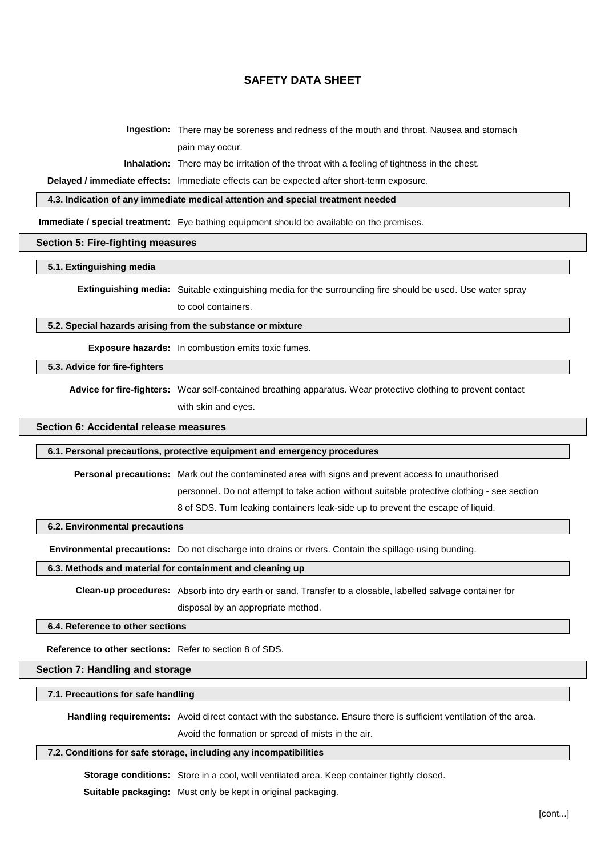**Ingestion:** There may be soreness and redness of the mouth and throat. Nausea and stomach pain may occur.

**Inhalation:** There may be irritation of the throat with a feeling of tightness in the chest.

**Delayed / immediate effects:** Immediate effects can be expected after short-term exposure.

#### **4.3. Indication of any immediate medical attention and special treatment needed**

**Immediate / special treatment:** Eye bathing equipment should be available on the premises.

#### **Section 5: Fire-fighting measures**

#### **5.1. Extinguishing media**

**Extinguishing media:** Suitable extinguishing media for the surrounding fire should be used. Use water spray

to cool containers.

#### **5.2. Special hazards arising from the substance or mixture**

**Exposure hazards:** In combustion emits toxic fumes.

#### **5.3. Advice for fire-fighters**

**Advice for fire-fighters:** Wear self-contained breathing apparatus. Wear protective clothing to prevent contact with skin and eyes.

### **Section 6: Accidental release measures**

#### **6.1. Personal precautions, protective equipment and emergency procedures**

**Personal precautions:** Mark out the contaminated area with signs and prevent access to unauthorised

personnel. Do not attempt to take action without suitable protective clothing - see section

8 of SDS. Turn leaking containers leak-side up to prevent the escape of liquid.

#### **6.2. Environmental precautions**

**Environmental precautions:** Do not discharge into drains or rivers. Contain the spillage using bunding.

### **6.3. Methods and material for containment and cleaning up**

**Clean-up procedures:** Absorb into dry earth or sand. Transfer to a closable, labelled salvage container for disposal by an appropriate method.

### **6.4. Reference to other sections**

**Reference to other sections:** Refer to section 8 of SDS.

### **Section 7: Handling and storage**

### **7.1. Precautions for safe handling**

**Handling requirements:** Avoid direct contact with the substance. Ensure there is sufficient ventilation of the area.

Avoid the formation or spread of mists in the air.

#### **7.2. Conditions for safe storage, including any incompatibilities**

**Storage conditions:** Store in a cool, well ventilated area. Keep container tightly closed.

**Suitable packaging:** Must only be kept in original packaging.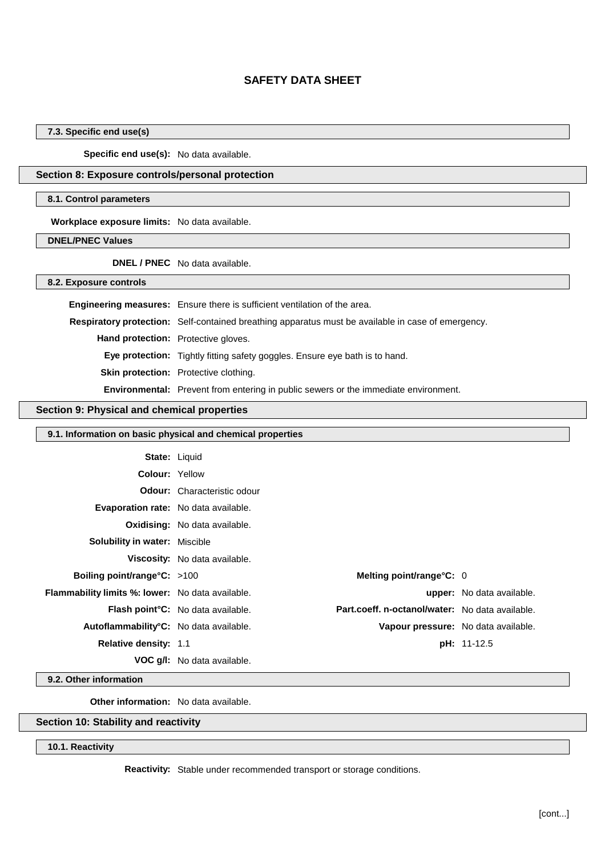### **7.3. Specific end use(s)**

**Specific end use(s):** No data available.

### **Section 8: Exposure controls/personal protection**

#### **8.1. Control parameters**

**Workplace exposure limits:** No data available.

**DNEL/PNEC Values**

**DNEL / PNEC** No data available.

**8.2. Exposure controls**

|                                     | <b>Engineering measures:</b> Ensure there is sufficient ventilation of the area.                   |
|-------------------------------------|----------------------------------------------------------------------------------------------------|
|                                     | Respiratory protection: Self-contained breathing apparatus must be available in case of emergency. |
| Hand protection: Protective gloves. |                                                                                                    |
|                                     | <b>Eye protection:</b> Tightly fitting safety goggles. Ensure eye bath is to hand.                 |
|                                     | <b>Skin protection:</b> Protective clothing.                                                       |
|                                     | <b>Environmental:</b> Prevent from entering in public sewers or the immediate environment.         |

### **Section 9: Physical and chemical properties**

| 9.1. Information on basic physical and chemical properties |                                                                                              |  |                                     |  |
|------------------------------------------------------------|----------------------------------------------------------------------------------------------|--|-------------------------------------|--|
| <b>State: Liquid</b>                                       |                                                                                              |  |                                     |  |
| <b>Colour: Yellow</b>                                      |                                                                                              |  |                                     |  |
|                                                            | <b>Odour:</b> Characteristic odour                                                           |  |                                     |  |
|                                                            |                                                                                              |  |                                     |  |
| <b>Evaporation rate:</b> No data available.                |                                                                                              |  |                                     |  |
|                                                            | Oxidising: No data available.                                                                |  |                                     |  |
| <b>Solubility in water: Miscible</b>                       |                                                                                              |  |                                     |  |
|                                                            | Viscosity: No data available.                                                                |  |                                     |  |
| <b>Boiling point/range°C:</b> >100                         | Melting point/range°C: 0                                                                     |  |                                     |  |
| <b>Flammability limits %: lower:</b> No data available.    |                                                                                              |  | <b>upper:</b> No data available.    |  |
|                                                            | Part.coeff. n-octanol/water: No data available.<br><b>Flash point °C:</b> No data available. |  |                                     |  |
| Autoflammability°C: No data available.                     |                                                                                              |  | Vapour pressure: No data available. |  |
| <b>Relative density: 1.1</b>                               |                                                                                              |  | <b>pH:</b> 11-12.5                  |  |
|                                                            | <b>VOC g/l:</b> No data available.                                                           |  |                                     |  |

**9.2. Other information**

**Other information:** No data available.

### **Section 10: Stability and reactivity**

**10.1. Reactivity**

**Reactivity:** Stable under recommended transport or storage conditions.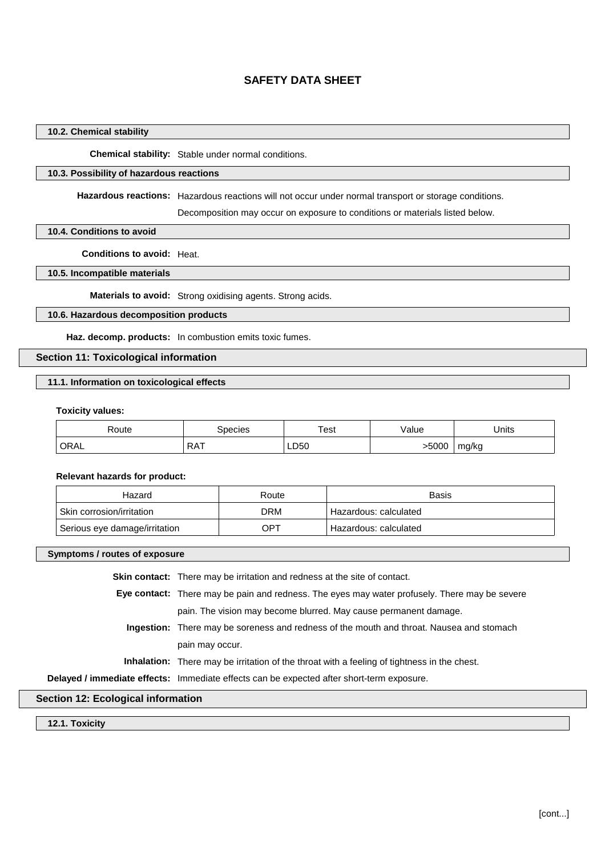### **10.2. Chemical stability**

**Chemical stability:** Stable under normal conditions.

### **10.3. Possibility of hazardous reactions**

**Hazardous reactions:** Hazardous reactions will not occur under normal transport or storage conditions.

Decomposition may occur on exposure to conditions or materials listed below.

### **10.4. Conditions to avoid**

**Conditions to avoid:** Heat.

### **10.5. Incompatible materials**

**Materials to avoid:** Strong oxidising agents. Strong acids.

### **10.6. Hazardous decomposition products**

**Haz. decomp. products:** In combustion emits toxic fumes.

### **Section 11: Toxicological information**

### **11.1. Information on toxicological effects**

#### **Toxicity values:**

| Route | Species | Test | Value | Jnits |
|-------|---------|------|-------|-------|
| ORAL  | RAT     | LD50 | >5000 | mg/kg |

#### **Relevant hazards for product:**

| Hazard                        | Route | <b>Basis</b>          |
|-------------------------------|-------|-----------------------|
| Skin corrosion/irritation     | DRM   | Hazardous: calculated |
| Serious eye damage/irritation | OPT   | Hazardous: calculated |

#### **Symptoms / routes of exposure**

| <b>Skin contact:</b> There may be irritation and redness at the site of contact.                   |
|----------------------------------------------------------------------------------------------------|
| Eye contact: There may be pain and redness. The eyes may water profusely. There may be severe      |
| pain. The vision may become blurred. May cause permanent damage.                                   |
| Ingestion: There may be soreness and redness of the mouth and throat. Nausea and stomach           |
| pain may occur.                                                                                    |
| <b>Inhalation:</b> There may be irritation of the throat with a feeling of tightness in the chest. |
| Delayed / immediate effects: Immediate effects can be expected after short-term exposure.          |

### **Section 12: Ecological information**

**12.1. Toxicity**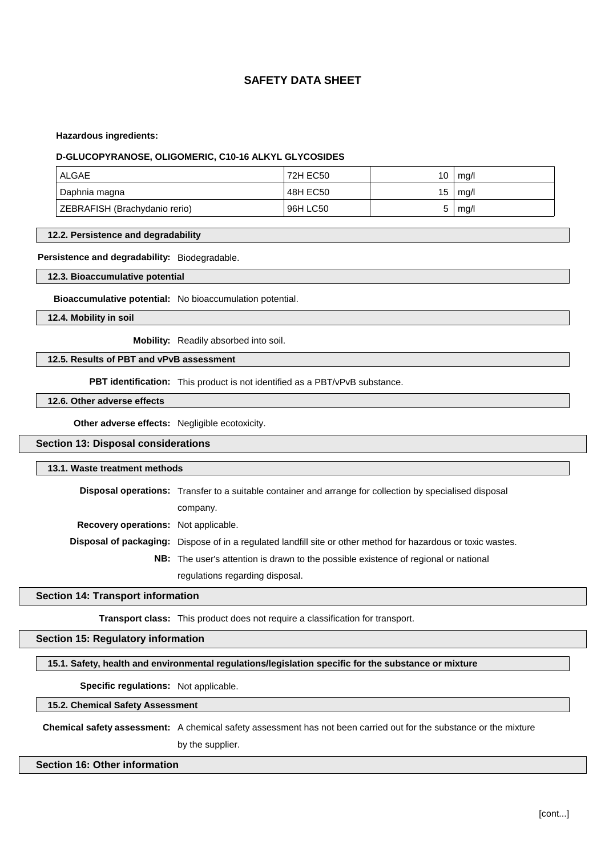#### **Hazardous ingredients:**

#### **D-GLUCOPYRANOSE, OLIGOMERIC, C10-16 ALKYL GLYCOSIDES**

| ALGAE                         | 72H EC50 | 10 | mq/l |
|-------------------------------|----------|----|------|
| Daphnia magna                 | 48H EC50 | 15 | mq/l |
| ZEBRAFISH (Brachydanio rerio) | 96H LC50 |    | mg/l |

#### **12.2. Persistence and degradability**

#### **Persistence and degradability:** Biodegradable.

#### **12.3. Bioaccumulative potential**

**Bioaccumulative potential:** No bioaccumulation potential.

**12.4. Mobility in soil**

**Mobility:** Readily absorbed into soil.

### **12.5. Results of PBT and vPvB assessment**

**PBT identification:** This product is not identified as a PBT/vPvB substance.

### **12.6. Other adverse effects**

**Other adverse effects:** Negligible ecotoxicity.

### **Section 13: Disposal considerations**

#### **13.1. Waste treatment methods**

**Disposal operations:** Transfer to a suitable container and arrange for collection by specialised disposal

**Recovery operations:** Not applicable.

company.

**Disposal of packaging:** Dispose of in a regulated landfill site or other method for hazardous or toxic wastes.

**NB:** The user's attention is drawn to the possible existence of regional or national

regulations regarding disposal.

#### **Section 14: Transport information**

**Transport class:** This product does not require a classification for transport.

## **Section 15: Regulatory information**

#### **15.1. Safety, health and environmental regulations/legislation specific for the substance or mixture**

**Specific regulations:** Not applicable.

**15.2. Chemical Safety Assessment**

**Chemical safety assessment:** A chemical safety assessment has not been carried out for the substance or the mixture by the supplier.

### **Section 16: Other information**